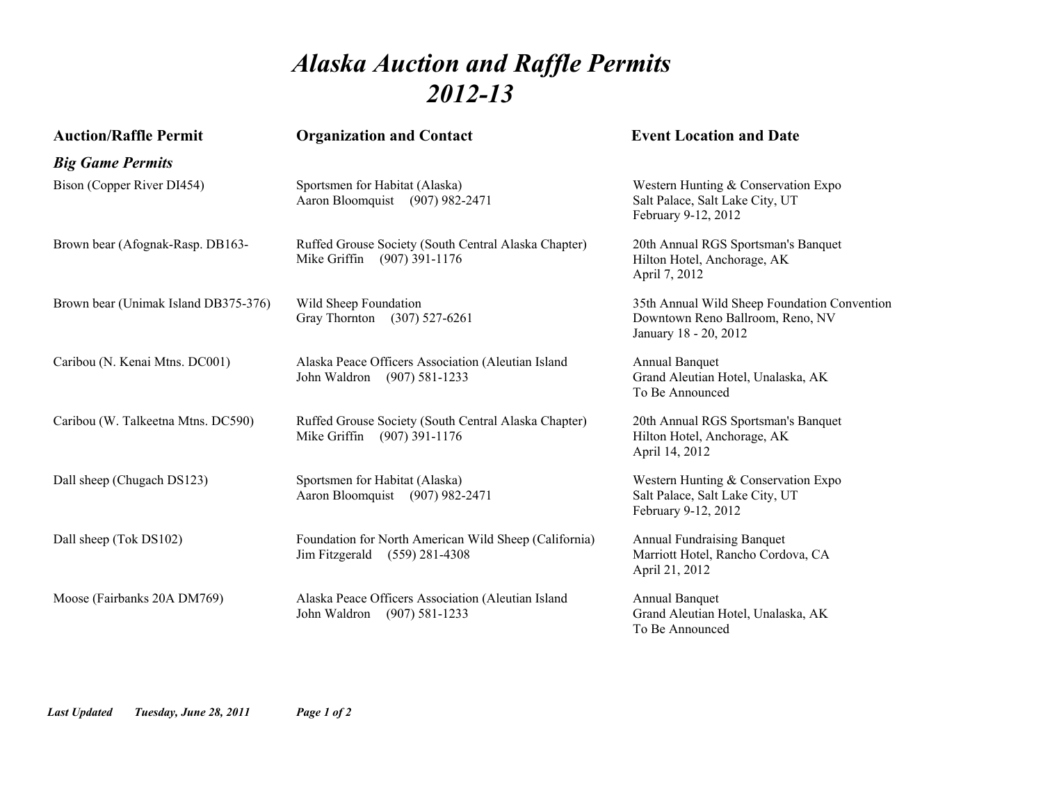## *Alaska Auction and Raffle Permits 2012-13*

| <b>Auction/Raffle Permit</b>         | <b>Organization and Contact</b>                                                             | <b>Event Location and Date</b>                                                                            |
|--------------------------------------|---------------------------------------------------------------------------------------------|-----------------------------------------------------------------------------------------------------------|
| <b>Big Game Permits</b>              |                                                                                             |                                                                                                           |
| Bison (Copper River DI454)           | Sportsmen for Habitat (Alaska)<br>Aaron Bloomquist (907) 982-2471                           | Western Hunting & Conservation Expo<br>Salt Palace, Salt Lake City, UT<br>February 9-12, 2012             |
| Brown bear (Afognak-Rasp. DB163-     | Ruffed Grouse Society (South Central Alaska Chapter)<br>Mike Griffin (907) 391-1176         | 20th Annual RGS Sportsman's Banquet<br>Hilton Hotel, Anchorage, AK<br>April 7, 2012                       |
| Brown bear (Unimak Island DB375-376) | Wild Sheep Foundation<br>Gray Thornton (307) 527-6261                                       | 35th Annual Wild Sheep Foundation Convention<br>Downtown Reno Ballroom, Reno, NV<br>January 18 - 20, 2012 |
| Caribou (N. Kenai Mtns. DC001)       | Alaska Peace Officers Association (Aleutian Island<br>John Waldron<br>$(907) 581 - 1233$    | Annual Banquet<br>Grand Aleutian Hotel, Unalaska, AK<br>To Be Announced                                   |
| Caribou (W. Talkeetna Mtns. DC590)   | Ruffed Grouse Society (South Central Alaska Chapter)<br>Mike Griffin (907) 391-1176         | 20th Annual RGS Sportsman's Banquet<br>Hilton Hotel, Anchorage, AK<br>April 14, 2012                      |
| Dall sheep (Chugach DS123)           | Sportsmen for Habitat (Alaska)<br>Aaron Bloomquist (907) 982-2471                           | Western Hunting & Conservation Expo<br>Salt Palace, Salt Lake City, UT<br>February 9-12, 2012             |
| Dall sheep (Tok DS102)               | Foundation for North American Wild Sheep (California)<br>Jim Fitzgerald<br>$(559)$ 281-4308 | <b>Annual Fundraising Banquet</b><br>Marriott Hotel, Rancho Cordova, CA<br>April 21, 2012                 |
| Moose (Fairbanks 20A DM769)          | Alaska Peace Officers Association (Aleutian Island<br>John Waldron<br>$(907) 581 - 1233$    | <b>Annual Banquet</b><br>Grand Aleutian Hotel, Unalaska, AK<br>To Be Announced                            |